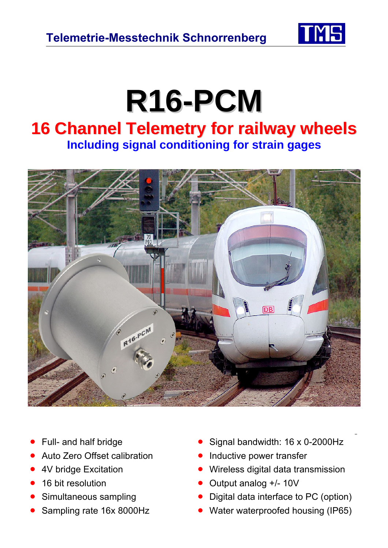

## **R16-PCM**

## **16 Channel Telemetry for railway wheels Including signal conditioning for strain gages**



- 
- Auto Zero Offset calibration Inductive power transfer
- 
- 
- 
- 
- Full- and half bridge **•** Signal bandwidth: 16 x 0-2000Hz
	-
- 4V bridge Excitation Wireless digital data transmission
- 16 bit resolution Cutput analog +/- 10V
- Simultaneous sampling Digital data interface to PC (option)
- Sampling rate 16x 8000Hz Water waterproofed housing (IP65)